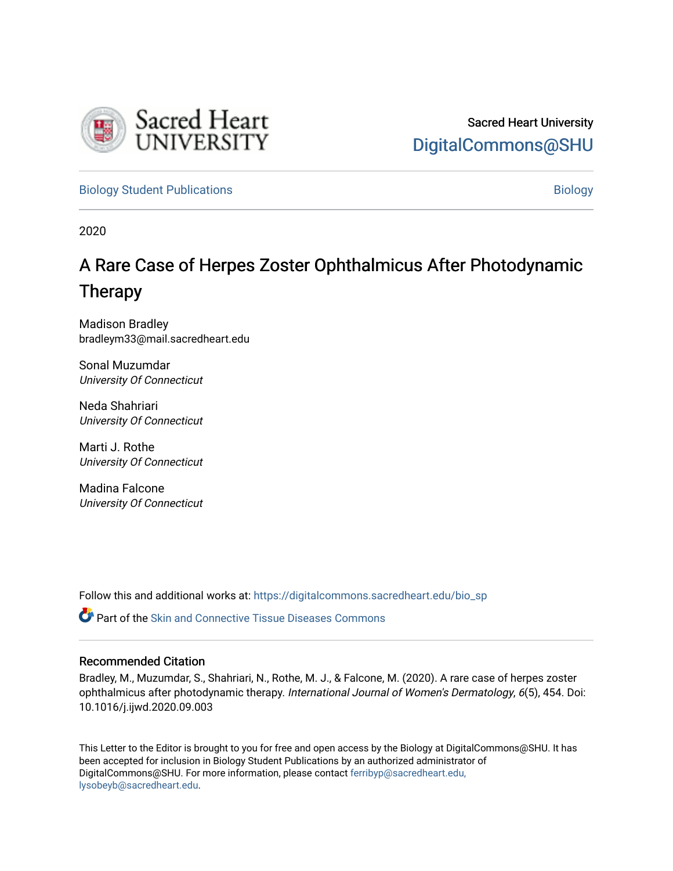

[Biology Student Publications](https://digitalcommons.sacredheart.edu/bio_sp) **Biology** Biology

2020

# A Rare Case of Herpes Zoster Ophthalmicus After Photodynamic Therapy

Madison Bradley bradleym33@mail.sacredheart.edu

Sonal Muzumdar University Of Connecticut

Neda Shahriari University Of Connecticut

Marti J. Rothe University Of Connecticut

Madina Falcone University Of Connecticut

Follow this and additional works at: [https://digitalcommons.sacredheart.edu/bio\\_sp](https://digitalcommons.sacredheart.edu/bio_sp?utm_source=digitalcommons.sacredheart.edu%2Fbio_sp%2F18&utm_medium=PDF&utm_campaign=PDFCoverPages)

**C** Part of the Skin and Connective Tissue Diseases Commons

# Recommended Citation

Bradley, M., Muzumdar, S., Shahriari, N., Rothe, M. J., & Falcone, M. (2020). A rare case of herpes zoster ophthalmicus after photodynamic therapy. International Journal of Women's Dermatology, 6(5), 454. Doi: 10.1016/j.ijwd.2020.09.003

This Letter to the Editor is brought to you for free and open access by the Biology at DigitalCommons@SHU. It has been accepted for inclusion in Biology Student Publications by an authorized administrator of DigitalCommons@SHU. For more information, please contact [ferribyp@sacredheart.edu,](mailto:ferribyp@sacredheart.edu,%20lysobeyb@sacredheart.edu) [lysobeyb@sacredheart.edu](mailto:ferribyp@sacredheart.edu,%20lysobeyb@sacredheart.edu).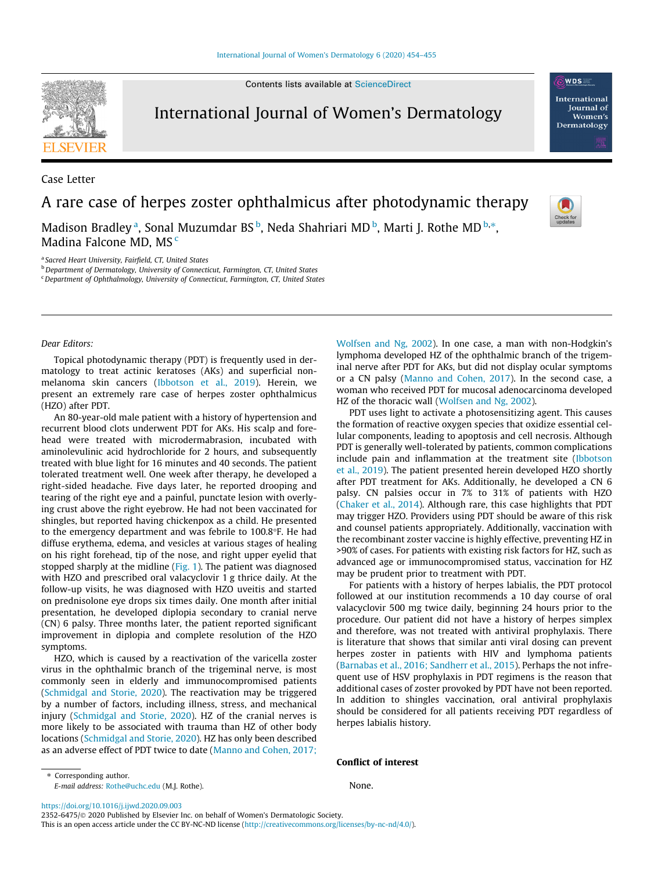

Contents lists available at [ScienceDirect](http://www.sciencedirect.com/science/journal/23526475)

# International Journal of Women's Dermatology

Case Letter

A rare case of herpes zoster ophthalmicus after photodynamic therapy

Madison Bradley <sup>a</sup>, Sonal Muzumdar BS <sup>b</sup>, Neda Shahriari MD <sup>b</sup>, Marti J. Rothe MD <sup>b,</sup>\*, Madina Falcone MD, MS<sup>c</sup>

<sup>a</sup> Sacred Heart University, Fairfield, CT, United States

b Department of Dermatology, University of Connecticut, Farmington, CT, United States

 $c$ Department of Ophthalmology, University of Connecticut, Farmington, CT, United States



WDS International **Iournal** of Women's Dermatology

Dear Editors:

Topical photodynamic therapy (PDT) is frequently used in dermatology to treat actinic keratoses (AKs) and superficial nonmelanoma skin cancers ([Ibbotson et al., 2019](#page-2-0)). Herein, we present an extremely rare case of herpes zoster ophthalmicus (HZO) after PDT.

An 80-year-old male patient with a history of hypertension and recurrent blood clots underwent PDT for AKs. His scalp and forehead were treated with microdermabrasion, incubated with aminolevulinic acid hydrochloride for 2 hours, and subsequently treated with blue light for 16 minutes and 40 seconds. The patient tolerated treatment well. One week after therapy, he developed a right-sided headache. Five days later, he reported drooping and tearing of the right eye and a painful, punctate lesion with overlying crust above the right eyebrow. He had not been vaccinated for shingles, but reported having chickenpox as a child. He presented to the emergency department and was febrile to  $100.8^{\circ}$ F. He had diffuse erythema, edema, and vesicles at various stages of healing on his right forehead, tip of the nose, and right upper eyelid that stopped sharply at the midline ([Fig. 1\)](#page-2-0). The patient was diagnosed with HZO and prescribed oral valacyclovir 1 g thrice daily. At the follow-up visits, he was diagnosed with HZO uveitis and started on prednisolone eye drops six times daily. One month after initial presentation, he developed diplopia secondary to cranial nerve (CN) 6 palsy. Three months later, the patient reported significant improvement in diplopia and complete resolution of the HZO symptoms.

HZO, which is caused by a reactivation of the varicella zoster virus in the ophthalmic branch of the trigeminal nerve, is most commonly seen in elderly and immunocompromised patients ([Schmidgal and Storie, 2020](#page-2-0)). The reactivation may be triggered by a number of factors, including illness, stress, and mechanical injury [\(Schmidgal and Storie, 2020](#page-2-0)). HZ of the cranial nerves is more likely to be associated with trauma than HZ of other body locations ([Schmidgal and Storie, 2020\)](#page-2-0). HZ has only been described as an adverse effect of PDT twice to date [\(Manno and Cohen, 2017;](#page-2-0)

[Wolfsen and Ng, 2002](#page-2-0)). In one case, a man with non-Hodgkin's lymphoma developed HZ of the ophthalmic branch of the trigeminal nerve after PDT for AKs, but did not display ocular symptoms or a CN palsy [\(Manno and Cohen, 2017\)](#page-2-0). In the second case, a woman who received PDT for mucosal adenocarcinoma developed HZ of the thoracic wall ([Wolfsen and Ng, 2002](#page-2-0)).

PDT uses light to activate a photosensitizing agent. This causes the formation of reactive oxygen species that oxidize essential cellular components, leading to apoptosis and cell necrosis. Although PDT is generally well-tolerated by patients, common complications include pain and inflammation at the treatment site ([Ibbotson](#page-2-0) [et al., 2019\)](#page-2-0). The patient presented herein developed HZO shortly after PDT treatment for AKs. Additionally, he developed a CN 6 palsy. CN palsies occur in 7% to 31% of patients with HZO ([Chaker et al., 2014\)](#page-2-0). Although rare, this case highlights that PDT may trigger HZO. Providers using PDT should be aware of this risk and counsel patients appropriately. Additionally, vaccination with the recombinant zoster vaccine is highly effective, preventing HZ in >90% of cases. For patients with existing risk factors for HZ, such as advanced age or immunocompromised status, vaccination for HZ may be prudent prior to treatment with PDT.

For patients with a history of herpes labialis, the PDT protocol followed at our institution recommends a 10 day course of oral valacyclovir 500 mg twice daily, beginning 24 hours prior to the procedure. Our patient did not have a history of herpes simplex and therefore, was not treated with antiviral prophylaxis. There is literature that shows that similar anti viral dosing can prevent herpes zoster in patients with HIV and lymphoma patients ([Barnabas et al., 2016; Sandherr et al., 2015\)](#page-2-0). Perhaps the not infrequent use of HSV prophylaxis in PDT regimens is the reason that additional cases of zoster provoked by PDT have not been reported. In addition to shingles vaccination, oral antiviral prophylaxis should be considered for all patients receiving PDT regardless of herpes labialis history.

#### Conflict of interest

None.

<https://doi.org/10.1016/j.ijwd.2020.09.003>

E-mail address: [Rothe@uchc.edu](mailto:Rothe@uchc.edu) (M.J. Rothe).

⇑ Corresponding author.

2352-6475/ 2020 Published by Elsevier Inc. on behalf of Women's Dermatologic Society. This is an open access article under the CC BY-NC-ND license ([http://creativecommons.org/licenses/by-nc-nd/4.0/\)](http://creativecommons.org/licenses/by-nc-nd/4.0/).